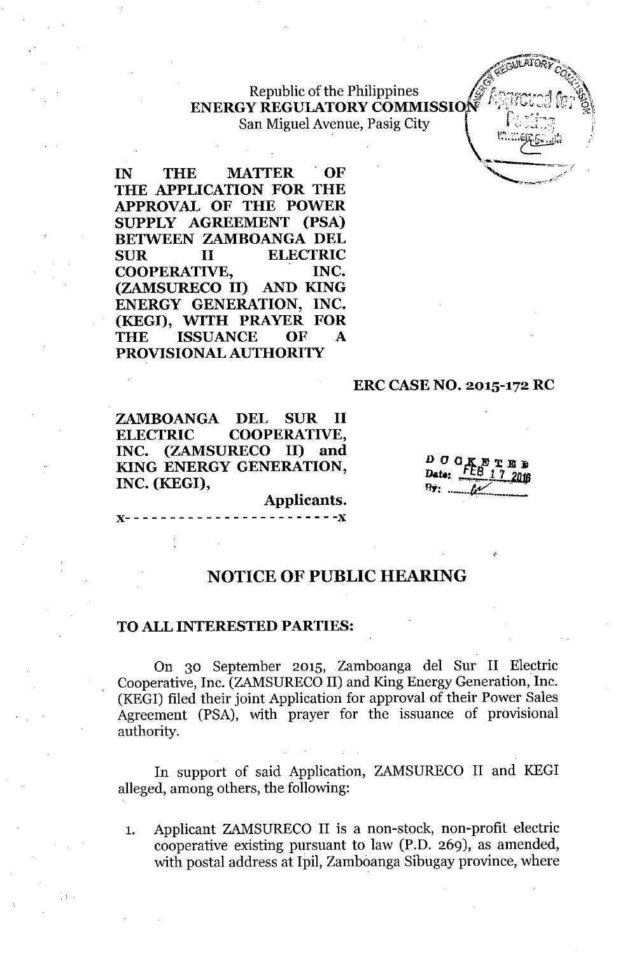Republic of the Philippines *,ff~0"~~"f("''':1* r,*'~:i,\* ENERGY REGULATORY COMMISSION San Miguel Avenue, Pasig City  $\sum_{i=1}^N \sum_{i=1}^N \sum_{j=1}^N \sum_{j=1}^N \sum_{j=1}^N \sum_{j=1}^N \sum_{j=1}^N \sum_{j=1}^N \sum_{j=1}^N \sum_{j=1}^N \sum_{j=1}^N \sum_{j=1}^N \sum_{j=1}^N \sum_{j=1}^N \sum_{j=1}^N \sum_{j=1}^N \sum_{j=1}^N \sum_{j=1}^N \sum_{j=1}^N \sum_{j=1}^N \sum_{j=1}^N \sum_{j=1}^N \sum_{j=1}^N \sum_{j=1}^N \sum_{j$ 

IN THE MATTER OF **'** THE APPLICATION FOR THE APPROVAL OF THE POWER SUPPLY AGREEMENT (PSA) BETWEEN ZAMBOANGA DEL SUR II ELECTRIC COOPERATIVE, INC. (ZAMSURECO II) AND KING ENERGY GENERATION, INC. (KEGI), WITH PRAYER FOR THE ISSUANCE OF A PROVISIONAL AUTHORITY

#### ERC CASE NO. 2015-172 RC

ZAMBOANGA DEL SUR II ELECTRIC COOPERATIVE, INC. (ZAMSURECO II) and KING ENERGY GENERATION, INC. (KEGI),

 $\rho$  *a*  $q_1$ Date:  $\frac{FEB + E}{1}$ RY: •..\_ .•.*tc::.. ..\_ ..\_*

..~tAfn.~," .~t01J Vi"j( 12"),. *"," 0, .'*

Applicants.

# )(- - - - - - - - - - - - - - - - - - - - - - - -)(

#### NOTICE OF PUBLIC HEARING

#### TO ALL INTERESTED PARTIES:

, '

On 30 September 2015, Zamboanga del Sur II Electric Cooperative, Inc. (ZAMSURECO II) and King Energy Generation, Inc. (KEG!) filed their joint Application for approval of their Power Sales Agreement (PSA), with prayer for the issuance of provisional authority.

In support of said Application, ZAMSURECO II and KEGI alleged, among others, the following:

1. Applicant ZAMSURECO II is a non-stock, non-profit electric cooperative existing pursuant to law (P.D. 269), as amended, with postal address at Ipil, Zamboanga Sibugay province, where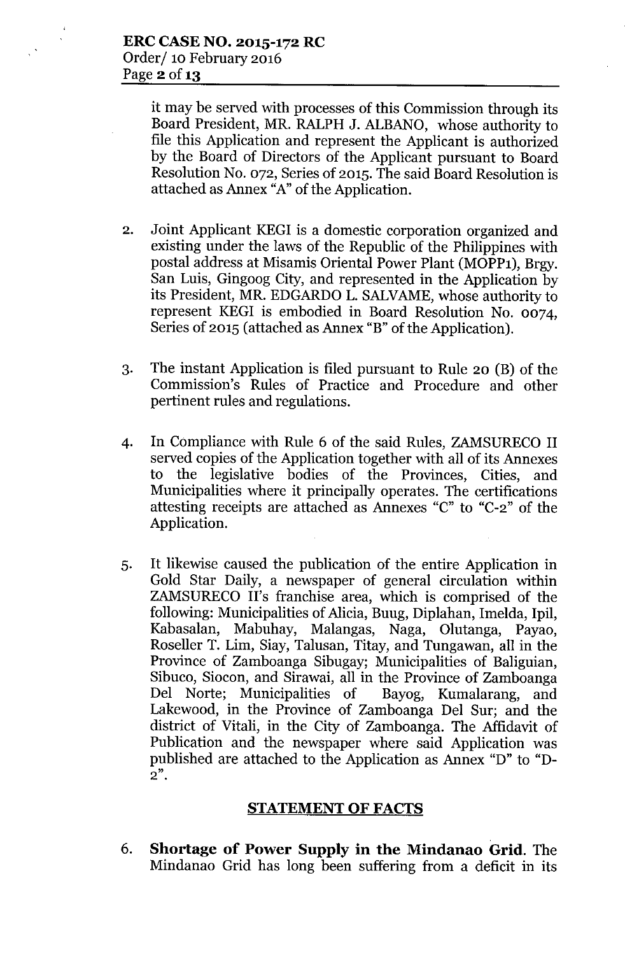it may be served with processes of this Commission through its Board President, MR. RALPH J. ALBANO, whose authority to file this Application and represent the Applicant is authorized by the Board of Directors of the Applicant pursuant to Board Resolution No. 072, Series of 2015. The said Board Resolution is attached as Annex "A" of the Application.

- 2. Joint Applicant KEGI is a domestic corporation organized and existing under the laws of the Republic of the Philippines with postal address at Misamis Oriental Power Plant (MOPP1), Brgy. San Luis, Gingoog City, and represented in the Application by its President, MR. EDGARDO L. SALVAME, whose authority to represent KEG! is embodied in Board Resolution No. 0074, Series of 2015 (attached as Annex "B" of the Application).
- 3. The instant Application is filed pursuant to Rule 20 (B) of the Commission's Rules of Practice and Procedure and other pertinent rules and regulations.
- 4. In Compliance with Rule 6 of the said Rules, ZAMSURECO II served copies of the Application together with all of its Annexes to the legislative bodies of the Provinces, Cities, and Municipalities where it principally operates. The certifications attesting receipts are attached as Annexes "C" to "C-2" of the Application.
- 5. It likewise caused the publication of the entire Application in Gold Star Daily, a newspaper of general circulation within ZAMSURECO II's franchise area, which is comprised of the following: Municipalities of Alicia, Buug, Diplahan, Imelda, Ipil, Kabasalan, Mabuhay, Malangas, Naga, Olutanga, Payao, Roseller T. Lim, Siay, Talusan, Titay, and Tungawan, all in the Province of Zamboanga Sibugay; Municipalities of Baliguian, Sibuco, Siocon, and Sirawai, all in the Province of Zamboanga Del Norte; Municipalities of Bayog, Kumalarang, and Lakewood, in the Province of Zamboanga Del Sur; and the district of Vitali, in the City of Zamboanga. The Affidavit of Publication and the newspaper where said Application was published are attached to the Application as Annex "D" to "D-**2".**

#### **STATEMENT OF FACTS**

6. **Shortage of Power Supply in the Mindanao Grid.** The Mindanao Grid has long been suffering from a deficit in its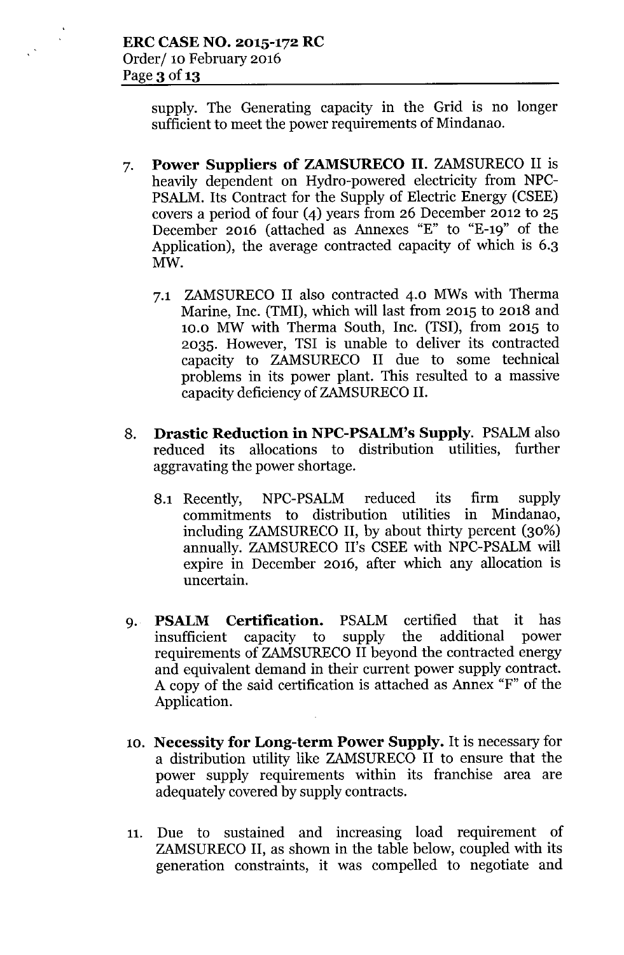supply. The Generating capacity in the Grid is no longer sufficient to meet the power requirements of Mindanao.

- 7. **Power Suppliers of ZAMSURECO II.** ZAMSURECO II is heavily dependent on Hydro-powered electricity from NPC-PSALM. Its Contract for the Supply of Electric Energy (CSEE) covers a period of four (4) years from 26 December 2012 to  $25$ December 2016 (attached as Annexes "E" to "E-19" of the Application), the average contracted capacity of which is 6.3 MW.
	- 7.1 ZAMSURECO II also contracted 4.0 MWs with Therma Marine, Inc. (TMI), which will last from 2015 to 2018 and 10.0 MW with Therma South, Inc. (TSI), from 2015 to 2035. However, TSI is unable to deliver its contracted capacity to ZAMSURECO II due to some technical problems in its power plant. This resulted to a massive capacity deficiency of ZAMSURECO II.
- 8. **Drastic Reduction in NPC-PSALM's Supply.** PSALM also reduced its allocations to distribution utilities, further aggravating the power shortage.
	- 8.1 Recently, NPC-PSALM reduced its firm supply commitments to distribution utilities in Mindanao, including ZAMSURECO II, by about thirty percent (30%) annually. ZAMSURECO II's CSEE with NPC-PSALM will expire in December 2016, after which any allocation is uncertain.
- 9. **PSALM Certification.** PSALM certified that it has insufficient capacity to supply the additional power requirements of ZAMSURECO II beyond the contracted energy and equivalent demand in their current power supply contract. A copy of the said certification is attached as Annex "F" of the Application.
- 10. **Necessity for Long-term Power Supply.** It is necessary for a distribution utility like ZAMSURECO II to ensure that the power supply requirements within its franchise area are adequately covered by supply contracts.
- 11. Due to sustained and increasing load requirement of ZAMSURECO II, as shown in the table below, coupled with its generation constraints, it was compelled to negotiate and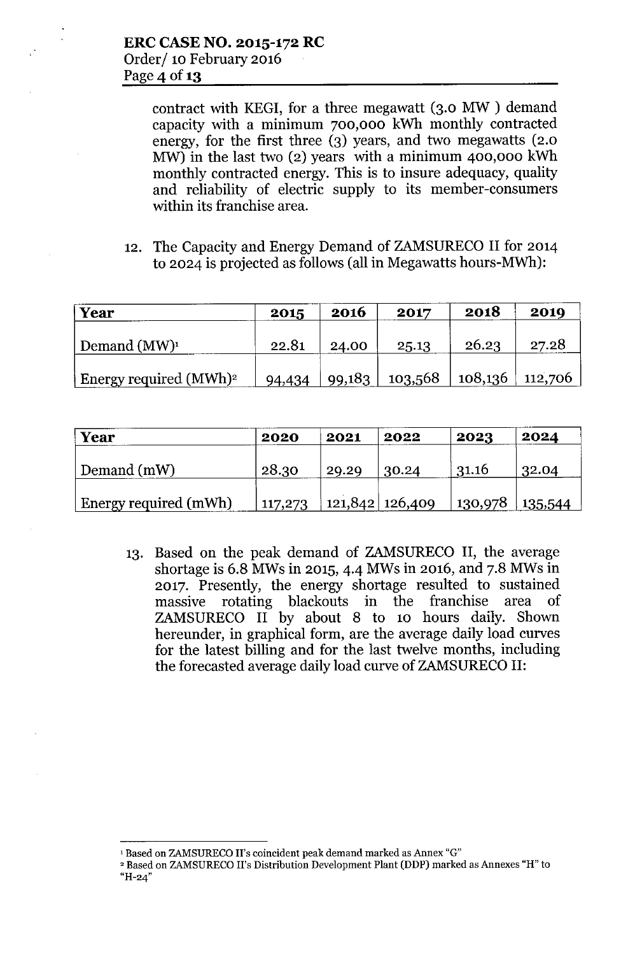contract with KEGI, for a three megawatt (3.0 MW ) demand capacity with a minimum 700,000 kWh monthly contracted energy, for the first three (3) years, and two megawatts (2.0 MW) in the last two (2) years with a minimum 400,000 kWh monthly contracted energy. This is to insure adequacy, quality and reliability of electric supply to its member-consumers within its franchise area.

12. The Capacity and Energy Demand of ZAMSURECO II for 2014 to 2024 is projected as follows (all in Megawatts hours-MWh):

| <b>Year</b>                        | 2015   | 2016   | 2017    | 2018              | 2019  |
|------------------------------------|--------|--------|---------|-------------------|-------|
|                                    |        |        |         |                   |       |
| Demand $(MW)^1$                    | 22.81  | 24.00  | 25.13   | 26.23             | 27.28 |
|                                    |        |        |         |                   |       |
| Energy required (MWh) <sup>2</sup> | 94,434 | 99,183 | 103,568 | $108,136$ 112,706 |       |

| Year                  | 2020    | 2021  | 2022              | 2023              | 2024  |
|-----------------------|---------|-------|-------------------|-------------------|-------|
| Demand (mW)           | 28.30   | 29.29 | 30.24             | 31.16             | 32.04 |
| Energy required (mWh) | 117,273 |       | 121,842   126,409 | $130,978$ 135,544 |       |

13. Based on the peak demand of ZAMSURECO II, the average shortage is 6.8 MWsin 2015, 4.4 MWs in 2016, and 7.8 MWsin 2017. Presently, the energy shortage resulted to sustained massive rotating blackouts in the franchise area of ZAMSURECO II by about 8 to 10 hours daily. Shown hereunder, in graphical form, are the average daily load curves for the latest billing and for the last twelve months, including the forecasted average daily load curve of ZAMSURECO II:

<sup>&#</sup>x27;Based on ZAMSURECO II's coincident peak demand marked as Annex "G"

<sup>&</sup>lt;sup>2</sup> Based on ZAMSURECO II's Distribution Development Plant (DDP) marked as Annexes "H" to **"H-24"**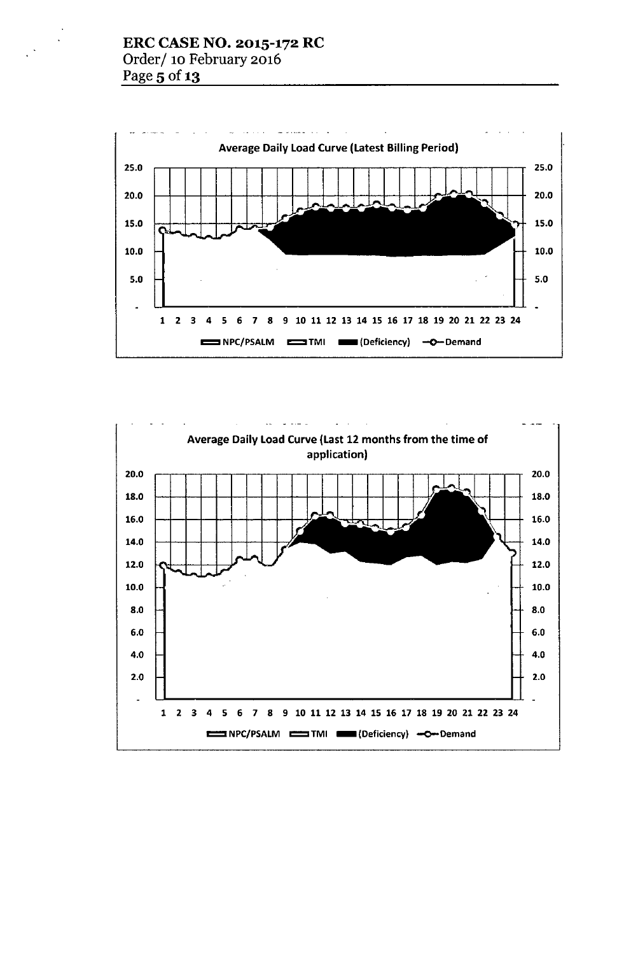# ERC CASE NO. 2015-172 RC Order/ 10 February 2016 Page 5 of 13



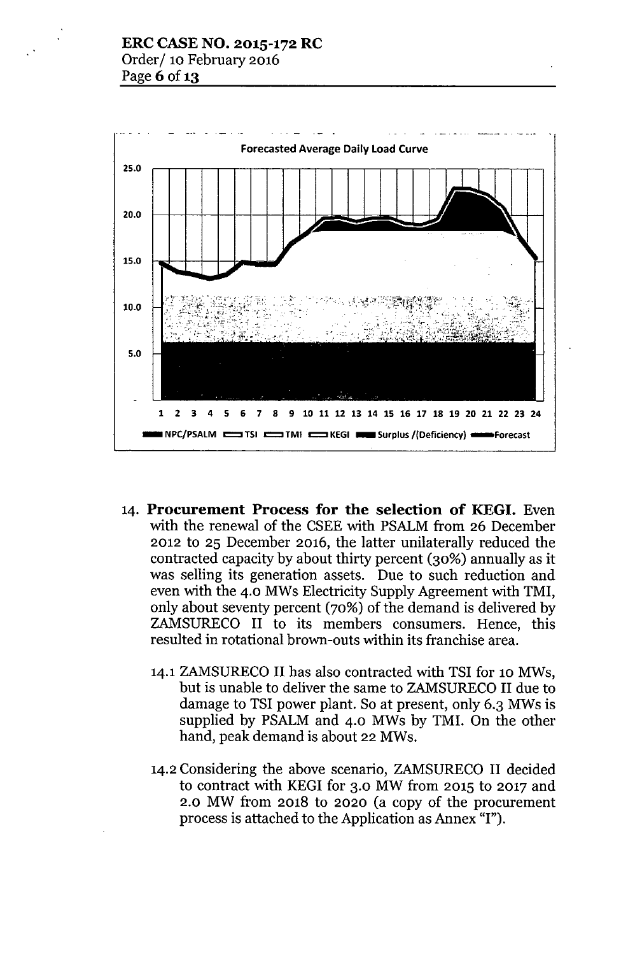

- 14. Procurement Process for the selection of KEGI. Even with the renewal of the CSEE with PSALM from 26 December 2012 to 25 December 2016, the latter unilaterally reduced the contracted capacity by about thirty percent (30%) annually as it was selling its generation assets. Due to such reduction and even with the 4.0 MWs Electricity Supply Agreement with TMI, only about seventy percent (70%) of the demand is delivered by ZAMSURECO II to its members consumers. Hence, this resulted in rotational brown-outs within its franchise area.
	- 14.1 ZAMSURECO II has also contracted with TSI for 10 MWs, but is unable to deliver the same to ZAMSURECO II due to damage to TSI power plant. So at present, only 6.3 MWs is supplied by PSALM and 4.0 MWs by TMI. On the other hand, peak demand is about 22 MWs.
	- 14.2 Considering the above scenario, ZAMSURECO II decided to contract with KEGI for 3.0 MW from 2015 to 2017 and 2.0 MW from 2018 to 2020 (a copy of the procurement process is attached to the Application as Annex "I").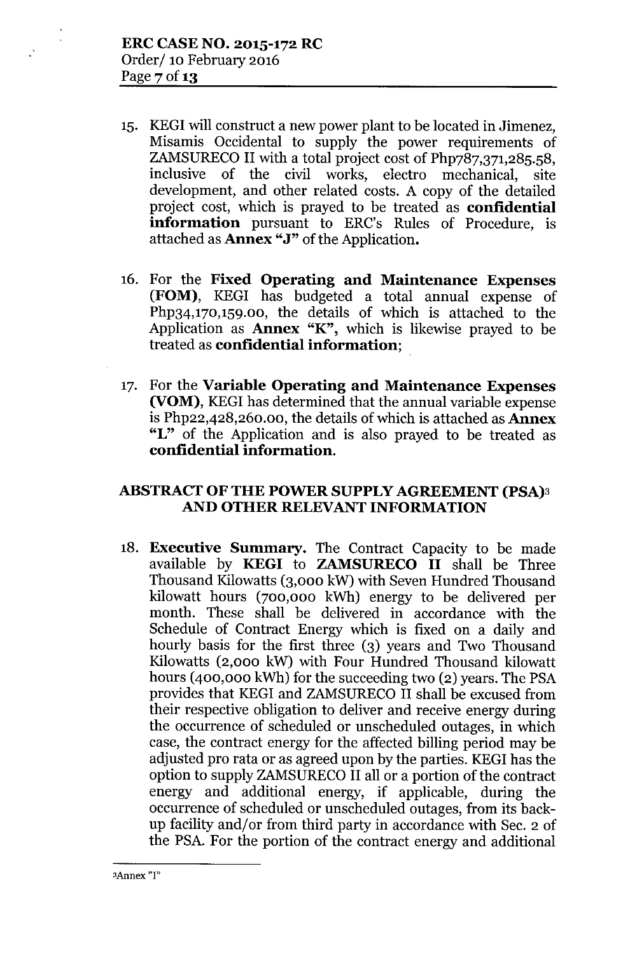- 15. KEGI will construct a new power plant to be located in Jimenez, Misamis Occidental to supply the power requirements of ZAMSURECO II with a total project cost of Php787,371,285.58, inclusive of the civil works, electro mechanical, site development, and other related costs. A copy of the detailed project cost, which is prayed to be treated as confidential information pursuant to ERC's Rules of Procedure, is attached as **Annex** "J" of the Application.
- 16. For the Fixed Operating and Maintenance Expenses (FOM), KEGI has budgeted a total annual expense of Php34,170,159.00, the details of which is attached to the Application as **Annex "K"**, which is likewise prayed to be treated as confidential information;
- 17. For the Variable Operating and Maintenance Expenses (VOM), KEGI has determined that the annual variable expense is Php22,428,260.00, the details of which is attached as Annex "L" of the Application and is also prayed to be treated as confidential information.

# ABSTRACT OF THE POWER SUPPLY AGREEMENT (PSA)3 AND OTHER RELEVANT INFORMATION

18. Executive Summary. The Contract Capacity to be made available by KEGI to ZAMSURECO II shall be Three Thousand Kilowatts (3,000 kW) with Seven Hundred Thousand kilowatt hours (700,000 kWh) energy to be delivered per month. These shall be delivered in accordance with the Schedule of Contract Energy which is fixed on a daily and hourly basis for the first three (3) years and Two Thousand Kilowatts (2,000 kW) with Four Hundred Thousand kilowatt hours (400,000 kWh) for the succeeding two (2) years. The PSA provides that KEGI and ZAMSURECO II shall be excused from their respective obligation to deliver and receive energy during the occurrence of scheduled or unscheduled outages, in which case, the contract energy for the affected billing period may be adjusted pro rata or as agreed upon by the parties. KEGI has the option to supply ZAMSURECO II all or a portion of the contract energy and additional energy, if applicable, during the occurrence of scheduled or unscheduled outages, from its backup facility and/or from third party in accordance with Sec. 2 of the PSA.For the portion of the contract energy and additional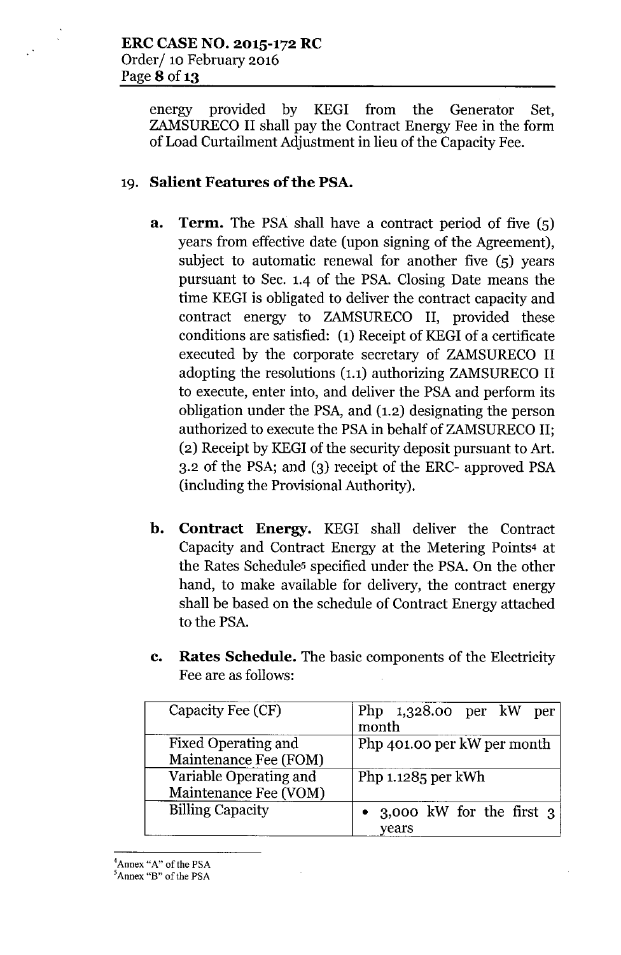energy provided by KEGI from the Generator Set, ZAMSURECO II shall pay the Contract Energy Fee in the form of Load Curtailment Adjustment in lieu of the Capacity Fee.

# 19. Salient Features of the PSA.

- a. Term. The PSA shall have a contract period of five (5) years from effective date (upon signing of the Agreement), subject to automatic renewal for another five (5) years pursuant to Sec. 1.4 of the PSA. Closing Date means the time KEGI is obligated to deliver the contract capacity and contract energy to ZAMSURECO II, provided these conditions are satisfied: (1) Receipt of KEGI of a certificate executed by the corporate secretary of ZAMSURECO II adopting the resolutions (1.1) authorizing ZAMSURECO II to execute, enter into, and deliver the PSA and perform its obligation under the PSA, and (1.2) designating the person authorized to execute the PSA in behalf of ZAMSURECO II; (2) Receipt by KEGI of the security deposit pursuant to Art. 3.2 of the PSA; and (3) receipt of the ERC- approved PSA (including the Provisional Authority).
- b. Contract Energy. KEGI shall deliver the Contract Capacity and Contract Energy at the Metering Points4 at the Rates Schedules specified under the PSA. On the other hand, to make available for delivery, the contract energy shall be based on the schedule of Contract Energy attached to the PSA.
- c. Rates Schedule. The basic components of the Electricity Fee are as follows:

| Capacity Fee (CF)                                   | Php $1,328.00$ per kW per<br>month    |
|-----------------------------------------------------|---------------------------------------|
| <b>Fixed Operating and</b><br>Maintenance Fee (FOM) | Php 401.00 per kW per month           |
| Variable Operating and<br>Maintenance Fee (VOM)     | Php $1.1285$ per kWh                  |
| <b>Billing Capacity</b>                             | • 3,000 kW for the first $3$<br>years |

<sup>4</sup>Annex *"A"* of the PSA

<sup>&</sup>lt;sup>5</sup>Annex "B" of the PSA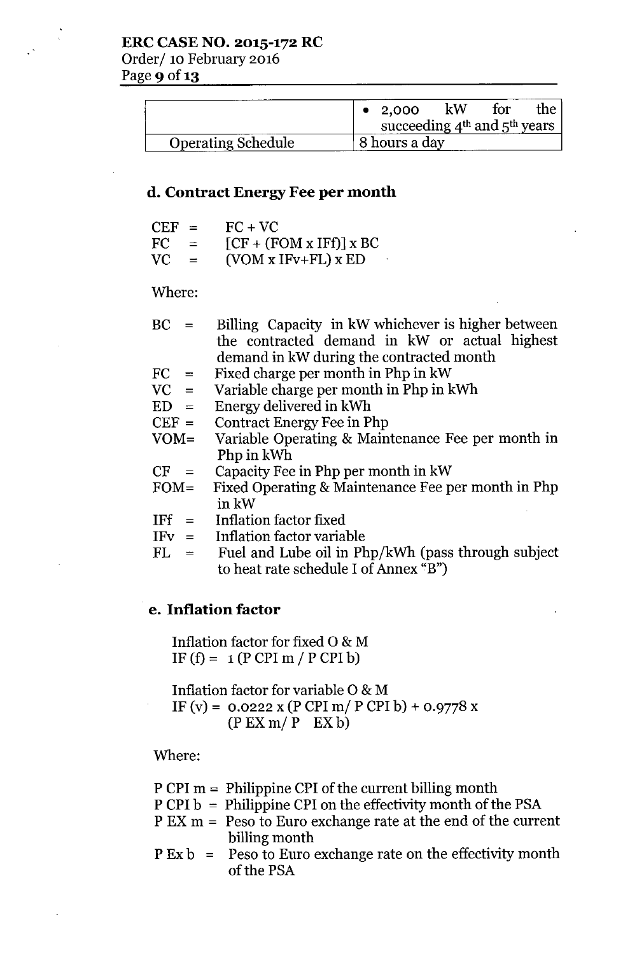|                           | • 2,000                          | kW | for | the |
|---------------------------|----------------------------------|----|-----|-----|
|                           | succeeding $4th$ and $5th$ years |    |     |     |
| <b>Operating Schedule</b> | 8 hours a day                    |    |     |     |

#### d. Contract Energy Fee per **month**

| $CEF =$ |     | $FC + VC$                 |
|---------|-----|---------------------------|
| FC.     | $=$ | $[CF + (FOM x IFf)] x BC$ |
| VC.     | $=$ | $(VOM x IFv+FL) x ED$     |

#### Where:

|  | $BC =$ Billing Capacity in kW whichever is higher between |
|--|-----------------------------------------------------------|
|  | the contracted demand in kW or actual highest             |
|  | demand in kW during the contracted month                  |
|  |                                                           |

- $FC =$ Fixed charge per month in Php in kW
- $VC =$ Variable charge per month in Php in kWh
- $ED =$ Energy delivered in kWh
- $CEF =$ Contract Energy Fee in Php
- VOM= Variable Operating & Maintenance Fee per month in Php in kWh
- $CF =$ Capacity Fee in Php per month in kW
- FOM= Fixed Operating & Maintenance Fee per month in Php inkW
- $IFf =$ Inflation factor fixed
- $IFv =$ Inflation factor variable
- $FL =$ Fuel and Lube oil in Php/kWh (pass through subject to heat rate schedule I of Annex "B")

#### e. **Inflation** factor

Inflation factor for fixed 0 & M IF  $(f) = 1$  (P CPI m / P CPI b)

Inflation factor for variable 0 & M IF (v) =  $0.0222$  x (P CPI m/ P CPI b) +  $0.9778$  x  $(P EX m / P EX b)$ 

Where:

- P CPI m = Philippine CPI of the current billing month
- $P$  CPI  $b =$  Philippine CPI on the effectivity month of the PSA
- P EX m = Peso to Euro exchange rate at the end of the current billing month
- $P Ex b = Peso to Euro exchange rate on the effective growth$ of the PSA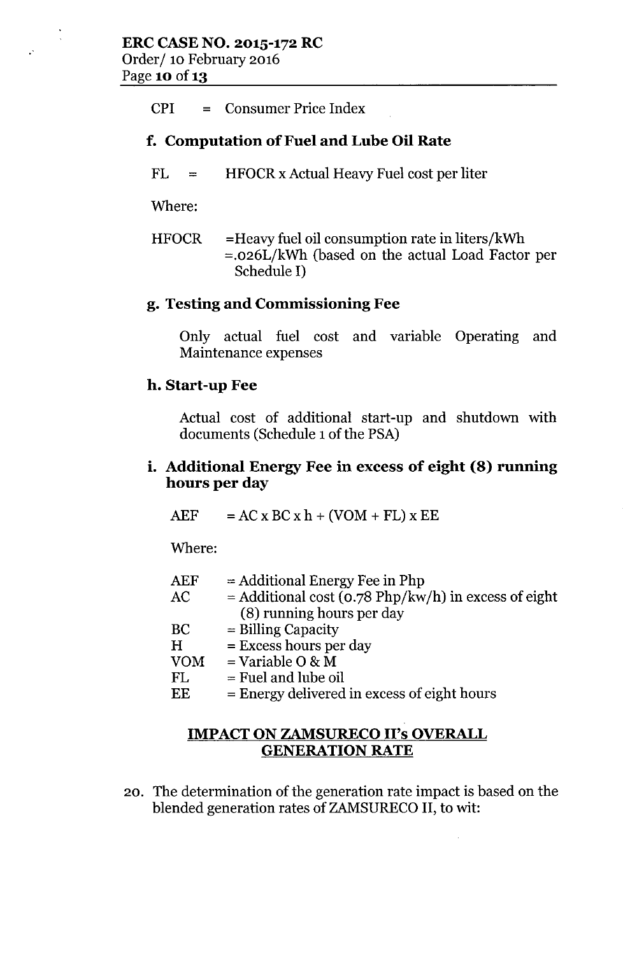## CPI = Consumer Price Index

## **f. Computation** of Fuel **and Lube Oil Rate**

 $FL =$ HFOCRx Actual Heavy Fuel cost per liter

Where:

 $\ddot{\phantom{a}}$ 

HFOCR =Heavy fuel oil consumption rate in liters/kWh =.026L/kWh (based on the actual Load Factor per Schedule I)

#### **g. Testing and Commissioning Fee**

Only actual fuel cost and variable Operating and Maintenance expenses

#### **h. Start-up Fee**

Actual cost of additional start-up and shutdown with documents (Schedule 1 of the PSA)

#### **i. Additional Energy Fee in excess of eight (8) running hours per day**

 $AEF$  =  $AC \times BC \times h + (VOM + FL) \times EE$ 

Where:

| ${\rm AEF}$ | $=$ Additional Energy Fee in Php                       |
|-------------|--------------------------------------------------------|
| AC          | $=$ Additional cost (0.78 Php/kw/h) in excess of eight |
|             | (8) running hours per day                              |
| BС          | $=$ Billing Capacity                                   |
| H           | $=$ Excess hours per day                               |
| $\rm VOM$   | $=$ Variable O & M                                     |
| FL          | $=$ Fuel and lube oil                                  |
| EE          | $=$ Energy delivered in excess of eight hours          |

#### **IMPACT ON ZAMSURECO II's OVERALL GENERATION RATE**

20. The determination of the generation rate impact is based on the blended generation rates of ZAMSURECO**II,** to wit: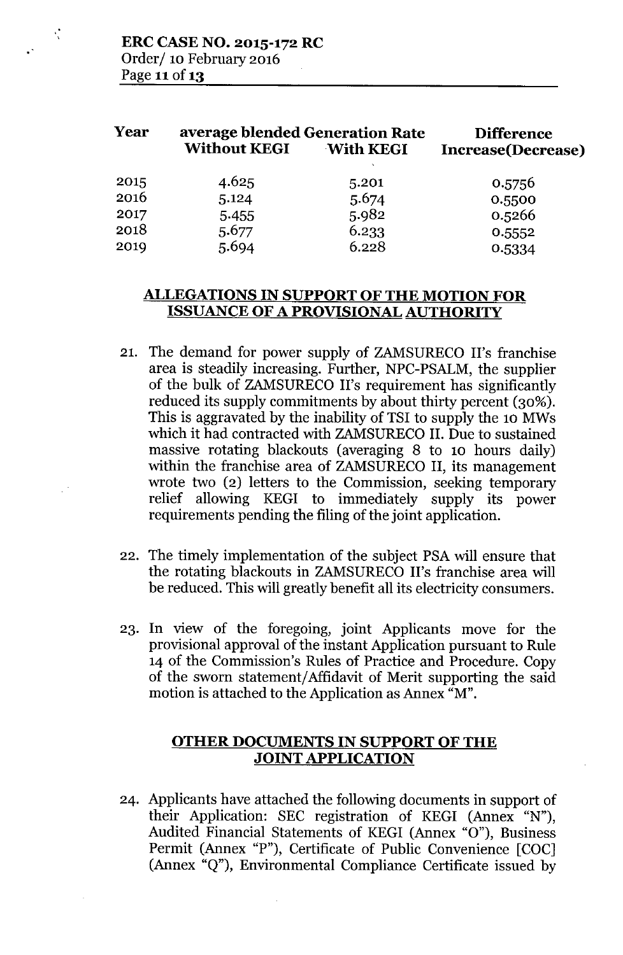₹

| <b>Without KEGI</b> | <b>Difference</b><br><b>Increase</b> (Decrease) |                                                     |
|---------------------|-------------------------------------------------|-----------------------------------------------------|
| 4.625               | 5.201                                           | 0.5756                                              |
| 5.124               | 5.674                                           | 0.5500                                              |
| 5.455               | 5.982                                           | 0.5266                                              |
| 5.677               | 6.233                                           | 0.5552                                              |
| 5.694               | 6.228                                           | 0.5334                                              |
|                     |                                                 | average blended Generation Rate<br><b>With KEGI</b> |

## **ALLEGATIONS IN SUPPORT OF THE MOTION FOR ISSUANCE OF A PROVISIONAL AUTHORITY**

- 21. The demand for power supply of ZAMSURECO II's franchise area is steadily increasing. Further, NPC-PSALM, the supplier of the bulk of ZAMSURECO II's requirement has significantly reduced its supply commitments by about thirty percent (30%). This is aggravated by the inability of TSI to supply the 10 MWs which it had contracted with ZAMSURECO II. Due to sustained massive rotating blackouts (averaging 8 to 10 hours daily) within the franchise area of ZAMSURECO II, its management wrote two (2) letters to the Commission, seeking temporary relief allowing KEGI to immediately supply its power requirements pending the filing of the joint application.
- 22. The timely implementation of the subject PSA will ensure that the rotating blackouts in ZAMSURECO II's franchise area will be reduced. This will greatly benefit all its electricity consumers.
- 23. In view of the foregoing, joint Applicants move for the provisional approval of the instant Application pursuant to Rule 14 of the Commission's Rules of Practice and Procedure. Copy of the sworn statement/Affidavit of Merit supporting the said motion is attached to the Application as Annex "M".

#### **OTHER DOCUMENTS IN SUPPORT OF THE JOINT APPLICATION**

24. Applicants have attached the following documents in support of their Application: SEC registration of KEGI (Annex "N"), Audited Financial Statements of KEGI (Annex "0"), Business Permit (Annex "P"), Certificate of Public Convenience [COC] (Annex "Q"), Environmental Compliance Certificate issued by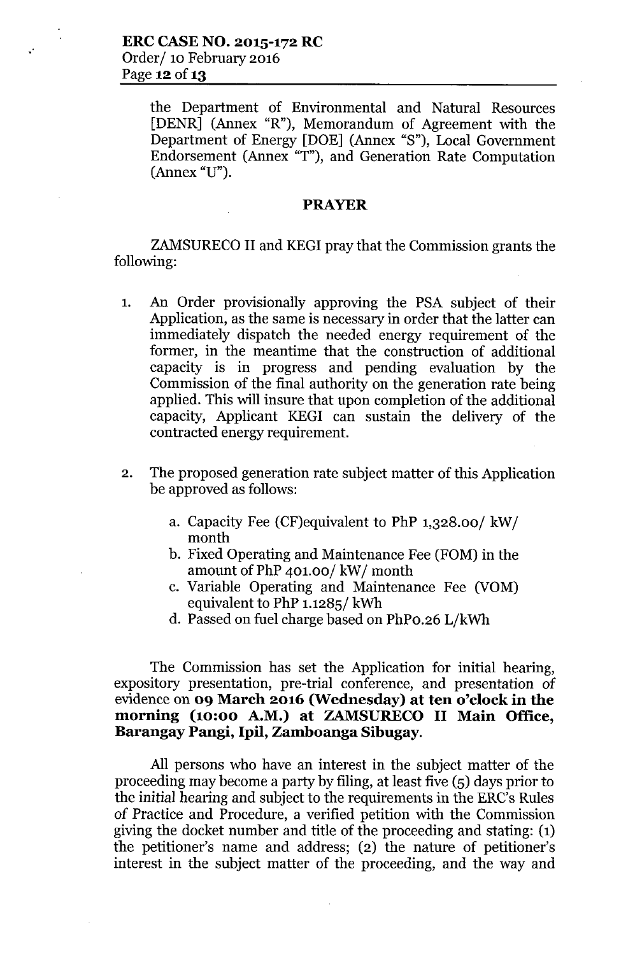the Department of Environmental and Natural Resources [DENR] (Annex "R"), Memorandum of Agreement with the Department of Energy [DOE] (Annex "S"), Local Government Endorsement (Annex "T"), and Generation Rate Computation (Annex "U").

#### **PRAYER**

ZAMSURECO II and KEGI pray that the Commission grants the following:

- 1. An Order provisionally approving the PSA subject of their Application, as the same is necessary in order that the latter can immediately dispatch the needed energy requirement of the former, in the meantime that the construction of additional capacity is in progress and pending evaluation by the Commission of the final authority on the generation rate being applied. This will insure that upon completion of the additional capacity, Applicant KEGI can sustain the delivery of the contracted energy requirement.
- 2. The proposed generation rate subject matter of this Application be approved as follows:
	- a. Capacity Fee (CF)equivalent to PhP 1,328.00/ kW/ month
	- b. Fixed Operating and Maintenance Fee (FOM) in the amount of PhP 401.00/ kW/ month
	- c. Variable Operating and Maintenance Fee (YOM) equivalent to PhP 1.1285/ kWh
	- d. Passed on fuel charge based on PhPo.26 L/kWh

The Commission has set the Application for initial hearing, expository presentation, pre-trial conference, and presentation of evidence on **09 March 2016 (Wednesday) at ten o'clock in the morning (10:00 A.M.) at ZAMSURECO II Main Office, Barangay Pangi, Ipil, Zamboanga Sibugay.**

All persons who have an interest in the subject matter of the proceeding may become a party by filing, at least five (5) days prior to the initial hearing and subject to the requirements in the ERC's Rules of Practice and Procedure, a verified petition with the Commission giving the docket number and title of the proceeding and stating: (1) the petitioner's name and address; (2) the nature of petitioner's interest in the subject matter of the proceeding, and the way and